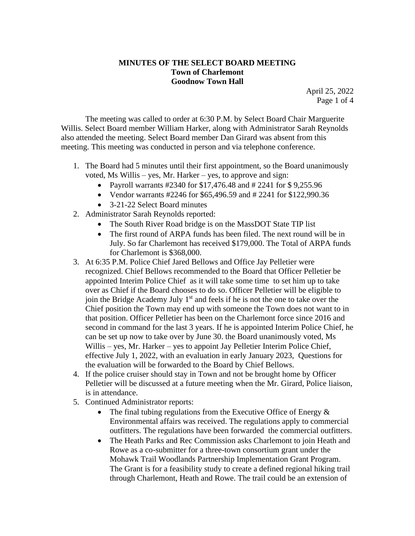## **MINUTES OF THE SELECT BOARD MEETING Town of Charlemont Goodnow Town Hall**

April 25, 2022 Page 1 of 4

The meeting was called to order at 6:30 P.M. by Select Board Chair Marguerite Willis. Select Board member William Harker, along with Administrator Sarah Reynolds also attended the meeting. Select Board member Dan Girard was absent from this meeting. This meeting was conducted in person and via telephone conference.

- 1. The Board had 5 minutes until their first appointment, so the Board unanimously voted, Ms Willis – yes, Mr. Harker – yes, to approve and sign:
	- Payroll warrants #2340 for \$17,476.48 and #2241 for \$9,255.96
	- Vendor warrants #2246 for \$65,496.59 and # 2241 for \$122,990.36
	- 3-21-22 Select Board minutes
- 2. Administrator Sarah Reynolds reported:
	- The South River Road bridge is on the MassDOT State TIP list
	- The first round of ARPA funds has been filed. The next round will be in July. So far Charlemont has received \$179,000. The Total of ARPA funds for Charlemont is \$368,000.
- 3. At 6:35 P.M. Police Chief Jared Bellows and Office Jay Pelletier were recognized. Chief Bellows recommended to the Board that Officer Pelletier be appointed Interim Police Chief as it will take some time to set him up to take over as Chief if the Board chooses to do so. Officer Pelletier will be eligible to join the Bridge Academy July 1<sup>st</sup> and feels if he is not the one to take over the Chief position the Town may end up with someone the Town does not want to in that position. Officer Pelletier has been on the Charlemont force since 2016 and second in command for the last 3 years. If he is appointed Interim Police Chief, he can be set up now to take over by June 30. the Board unanimously voted, Ms Willis – yes, Mr. Harker – yes to appoint Jay Pelletier Interim Police Chief, effective July 1, 2022, with an evaluation in early January 2023, Questions for the evaluation will be forwarded to the Board by Chief Bellows.
- 4. If the police cruiser should stay in Town and not be brought home by Officer Pelletier will be discussed at a future meeting when the Mr. Girard, Police liaison, is in attendance.
- 5. Continued Administrator reports:
	- The final tubing regulations from the Executive Office of Energy  $\&$ Environmental affairs was received. The regulations apply to commercial outfitters. The regulations have been forwarded the commercial outfitters.
	- The Heath Parks and Rec Commission asks Charlemont to join Heath and Rowe as a co-submitter for a three-town consortium grant under the Mohawk Trail Woodlands Partnership Implementation Grant Program. The Grant is for a feasibility study to create a defined regional hiking trail through Charlemont, Heath and Rowe. The trail could be an extension of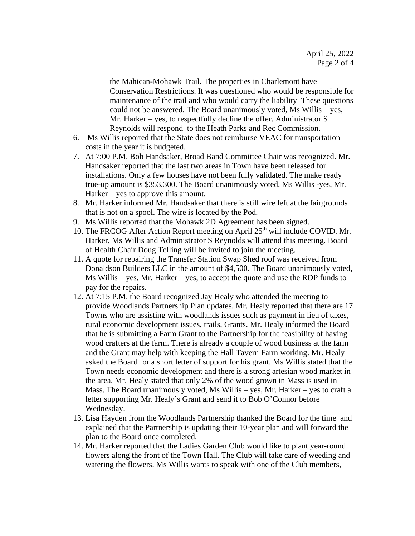the Mahican-Mohawk Trail. The properties in Charlemont have Conservation Restrictions. It was questioned who would be responsible for maintenance of the trail and who would carry the liability These questions could not be answered. The Board unanimously voted, Ms Willis – yes, Mr. Harker – yes, to respectfully decline the offer. Administrator S Reynolds will respond to the Heath Parks and Rec Commission.

- 6. Ms Willis reported that the State does not reimburse VEAC for transportation costs in the year it is budgeted.
- 7. At 7:00 P.M. Bob Handsaker, Broad Band Committee Chair was recognized. Mr. Handsaker reported that the last two areas in Town have been released for installations. Only a few houses have not been fully validated. The make ready true-up amount is \$353,300. The Board unanimously voted, Ms Willis -yes, Mr. Harker – yes to approve this amount.
- 8. Mr. Harker informed Mr. Handsaker that there is still wire left at the fairgrounds that is not on a spool. The wire is located by the Pod.
- 9. Ms Willis reported that the Mohawk 2D Agreement has been signed.
- 10. The FRCOG After Action Report meeting on April 25<sup>th</sup> will include COVID. Mr. Harker, Ms Willis and Administrator S Reynolds will attend this meeting. Board of Health Chair Doug Telling will be invited to join the meeting.
- 11. A quote for repairing the Transfer Station Swap Shed roof was received from Donaldson Builders LLC in the amount of \$4,500. The Board unanimously voted, Ms Willis – yes, Mr. Harker – yes, to accept the quote and use the RDP funds to pay for the repairs.
- 12. At 7:15 P.M. the Board recognized Jay Healy who attended the meeting to provide Woodlands Partnership Plan updates. Mr. Healy reported that there are 17 Towns who are assisting with woodlands issues such as payment in lieu of taxes, rural economic development issues, trails, Grants. Mr. Healy informed the Board that he is submitting a Farm Grant to the Partnership for the feasibility of having wood crafters at the farm. There is already a couple of wood business at the farm and the Grant may help with keeping the Hall Tavern Farm working. Mr. Healy asked the Board for a short letter of support for his grant. Ms Willis stated that the Town needs economic development and there is a strong artesian wood market in the area. Mr. Healy stated that only 2% of the wood grown in Mass is used in Mass. The Board unanimously voted, Ms Willis – yes, Mr. Harker – yes to craft a letter supporting Mr. Healy's Grant and send it to Bob O'Connor before Wednesday.
- 13. Lisa Hayden from the Woodlands Partnership thanked the Board for the time and explained that the Partnership is updating their 10-year plan and will forward the plan to the Board once completed.
- 14. Mr. Harker reported that the Ladies Garden Club would like to plant year-round flowers along the front of the Town Hall. The Club will take care of weeding and watering the flowers. Ms Willis wants to speak with one of the Club members,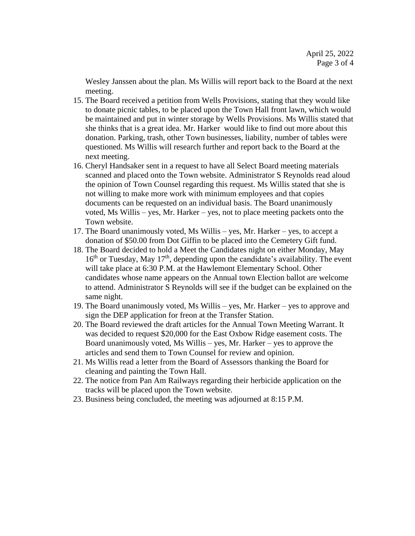Wesley Janssen about the plan. Ms Willis will report back to the Board at the next meeting.

- 15. The Board received a petition from Wells Provisions, stating that they would like to donate picnic tables, to be placed upon the Town Hall front lawn, which would be maintained and put in winter storage by Wells Provisions. Ms Willis stated that she thinks that is a great idea. Mr. Harker would like to find out more about this donation. Parking, trash, other Town businesses, liability, number of tables were questioned. Ms Willis will research further and report back to the Board at the next meeting.
- 16. Cheryl Handsaker sent in a request to have all Select Board meeting materials scanned and placed onto the Town website. Administrator S Reynolds read aloud the opinion of Town Counsel regarding this request. Ms Willis stated that she is not willing to make more work with minimum employees and that copies documents can be requested on an individual basis. The Board unanimously voted, Ms Willis – yes, Mr. Harker – yes, not to place meeting packets onto the Town website.
- 17. The Board unanimously voted, Ms Willis yes, Mr. Harker yes, to accept a donation of \$50.00 from Dot Giffin to be placed into the Cemetery Gift fund.
- 18. The Board decided to hold a Meet the Candidates night on either Monday, May  $16<sup>th</sup>$  or Tuesday, May  $17<sup>th</sup>$ , depending upon the candidate's availability. The event will take place at 6:30 P.M. at the Hawlemont Elementary School. Other candidates whose name appears on the Annual town Election ballot are welcome to attend. Administrator S Reynolds will see if the budget can be explained on the same night.
- 19. The Board unanimously voted, Ms Willis yes, Mr. Harker yes to approve and sign the DEP application for freon at the Transfer Station.
- 20. The Board reviewed the draft articles for the Annual Town Meeting Warrant. It was decided to request \$20,000 for the East Oxbow Ridge easement costs. The Board unanimously voted, Ms Willis – yes, Mr. Harker – yes to approve the articles and send them to Town Counsel for review and opinion.
- 21. Ms Willis read a letter from the Board of Assessors thanking the Board for cleaning and painting the Town Hall.
- 22. The notice from Pan Am Railways regarding their herbicide application on the tracks will be placed upon the Town website.
- 23. Business being concluded, the meeting was adjourned at 8:15 P.M.